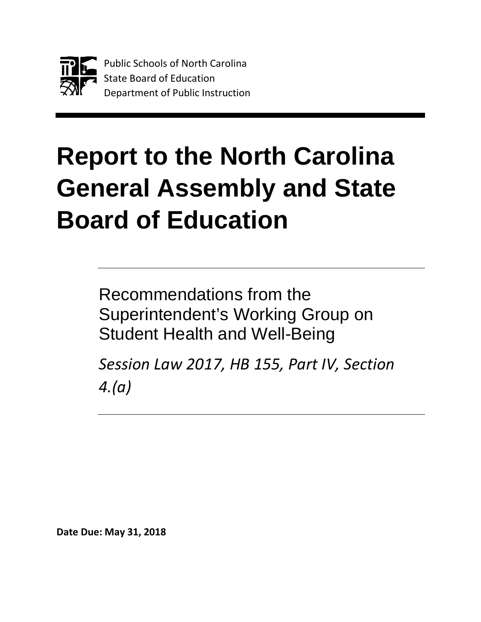

# **Report to the North Carolina General Assembly and State Board of Education**

Recommendations from the Superintendent's Working Group on Student Health and Well-Being

*Session Law 2017, HB 155, Part IV, Section 4.(a)*

**Date Due: May 31, 2018**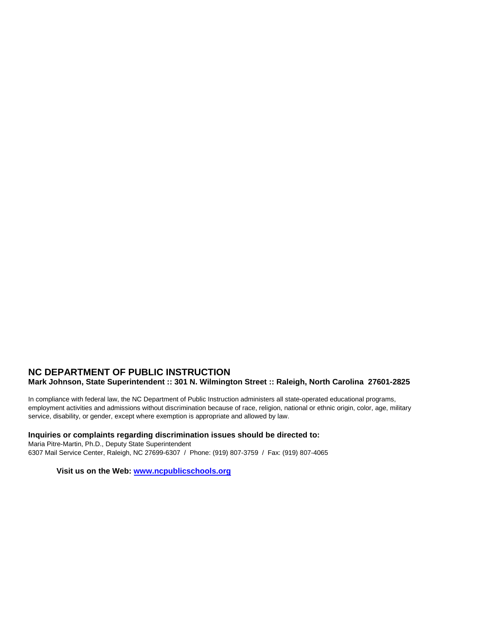#### **NC DEPARTMENT OF PUBLIC INSTRUCTION Mark Johnson, State Superintendent :: 301 N. Wilmington Street :: Raleigh, North Carolina 27601-2825**

In compliance with federal law, the NC Department of Public Instruction administers all state-operated educational programs, employment activities and admissions without discrimination because of race, religion, national or ethnic origin, color, age, military service, disability, or gender, except where exemption is appropriate and allowed by law.

#### **Inquiries or complaints regarding discrimination issues should be directed to:**

Maria Pitre-Martin, Ph.D., Deputy State Superintendent 6307 Mail Service Center, Raleigh, NC 27699-6307 / Phone: (919) 807-3759 / Fax: (919) 807-4065

**Visit us on the Web: [www.ncpublicschools.org](http://www.ncpublicschools.org/)**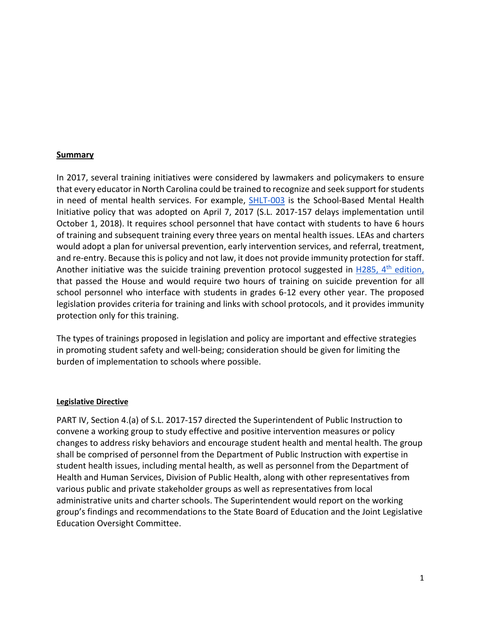#### **Summary**

In 2017, several training initiatives were considered by lawmakers and policymakers to ensure that every educator in North Carolina could be trained to recognize and seek support for students in need of mental health services. For example, SHLT-003 is the School-Based Mental Health Initiative policy that was adopted on April 7, 2017 (S.L. 2017-157 delays implementation until October 1, 2018). It requires school personnel that have contact with students to have 6 hours of training and subsequent training every three years on mental health issues. LEAs and charters would adopt a plan for universal prevention, early intervention services, and referral, treatment, and re-entry. Because this is policy and not law, it does not provide immunity protection for staff. Another initiative was the suicide training prevention protocol suggested in  $H285$ ,  $4<sup>th</sup>$  edition, that passed the House and would require two hours of training on suicide prevention for all school personnel who interface with students in grades 6-12 every other year. The proposed legislation provides criteria for training and links with school protocols, and it provides immunity protection only for this training.

The types of trainings proposed in legislation and policy are important and effective strategies in promoting student safety and well-being; consideration should be given for limiting the burden of implementation to schools where possible.

#### **Legislative Directive**

PART IV, Section 4.(a) of S.L. 2017-157 directed the Superintendent of Public Instruction to convene a working group to study effective and positive intervention measures or policy changes to address risky behaviors and encourage student health and mental health. The group shall be comprised of personnel from the Department of Public Instruction with expertise in student health issues, including mental health, as well as personnel from the Department of Health and Human Services, Division of Public Health, along with other representatives from various public and private stakeholder groups as well as representatives from local administrative units and charter schools. The Superintendent would report on the working group's findings and recommendations to the State Board of Education and the Joint Legislative Education Oversight Committee.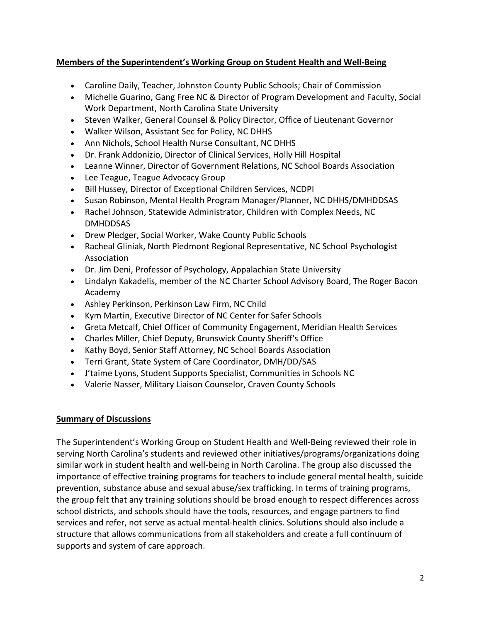### **Members of the Superintendent's Working Group on Student Health and Well-Being**

- Caroline Daily, Teacher, Johnston County Public Schools; Chair of Commission
- Michelle Guarino, Gang Free NC & Director of Program Development and Faculty, Social Work Department, North Carolina State University
- Steven Walker, General Counsel & Policy Director, Office of Lieutenant Governor
- Walker Wilson, Assistant Sec for Policy, NC DHHS
- Ann Nichols, School Health Nurse Consultant, NC DHHS
- Dr. Frank Addonizio, Director of Clinical Services, Holly Hill Hospital
- Leanne Winner, Director of Government Relations, NC School Boards Association
- Lee Teague, Teague Advocacy Group
- Bill Hussey, Director of Exceptional Children Services, NCDPI
- Susan Robinson, Mental Health Program Manager/Planner, NC DHHS/DMHDDSAS
- Rachel Johnson, Statewide Administrator, Children with Complex Needs, NC DMHDDSAS
- Drew Pledger, Social Worker, Wake County Public Schools
- Racheal Gliniak, North Piedmont Regional Representative, NC School Psychologist Association
- Dr. Jim Deni, Professor of Psychology, Appalachian State University
- Lindalyn Kakadelis, member of the NC Charter School Advisory Board, The Roger Bacon Academy
- Ashley Perkinson, Perkinson Law Firm, NC Child
- Kym Martin, Executive Director of NC Center for Safer Schools
- Greta Metcalf, Chief Officer of Community Engagement, Meridian Health Services
- Charles Miller, Chief Deputy, Brunswick County Sheriff's Office
- Kathy Boyd, Senior Staff Attorney, NC School Boards Association
- Terri Grant, State System of Care Coordinator, DMH/DD/SAS
- J'taime Lyons, Student Supports Specialist, Communities in Schools NC
- Valerie Nasser, Military Liaison Counselor, Craven County Schools

#### **Summary of Discussions**

The Superintendent's Working Group on Student Health and Well-Being reviewed their role in serving North Carolina's students and reviewed other initiatives/programs/organizations doing similar work in student health and well-being in North Carolina. The group also discussed the importance of effective training programs for teachers to include general mental health, suicide prevention, substance abuse and sexual abuse/sex trafficking. In terms of training programs, the group felt that any training solutions should be broad enough to respect differences across school districts, and schools should have the tools, resources, and engage partners to find services and refer, not serve as actual mental-health clinics. Solutions should also include a structure that allows communications from all stakeholders and create a full continuum of supports and system of care approach.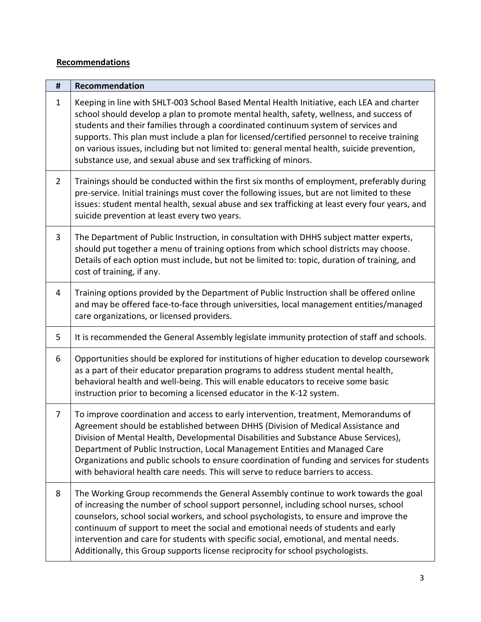## **Recommendations**

| #              | Recommendation                                                                                                                                                                                                                                                                                                                                                                                                                                                                                                                              |
|----------------|---------------------------------------------------------------------------------------------------------------------------------------------------------------------------------------------------------------------------------------------------------------------------------------------------------------------------------------------------------------------------------------------------------------------------------------------------------------------------------------------------------------------------------------------|
| $\mathbf{1}$   | Keeping in line with SHLT-003 School Based Mental Health Initiative, each LEA and charter<br>school should develop a plan to promote mental health, safety, wellness, and success of<br>students and their families through a coordinated continuum system of services and<br>supports. This plan must include a plan for licensed/certified personnel to receive training<br>on various issues, including but not limited to: general mental health, suicide prevention,<br>substance use, and sexual abuse and sex trafficking of minors. |
| $\overline{2}$ | Trainings should be conducted within the first six months of employment, preferably during<br>pre-service. Initial trainings must cover the following issues, but are not limited to these<br>issues: student mental health, sexual abuse and sex trafficking at least every four years, and<br>suicide prevention at least every two years.                                                                                                                                                                                                |
| $\overline{3}$ | The Department of Public Instruction, in consultation with DHHS subject matter experts,<br>should put together a menu of training options from which school districts may choose.<br>Details of each option must include, but not be limited to: topic, duration of training, and<br>cost of training, if any.                                                                                                                                                                                                                              |
| 4              | Training options provided by the Department of Public Instruction shall be offered online<br>and may be offered face-to-face through universities, local management entities/managed<br>care organizations, or licensed providers.                                                                                                                                                                                                                                                                                                          |
| 5              | It is recommended the General Assembly legislate immunity protection of staff and schools.                                                                                                                                                                                                                                                                                                                                                                                                                                                  |
| 6              | Opportunities should be explored for institutions of higher education to develop coursework<br>as a part of their educator preparation programs to address student mental health,<br>behavioral health and well-being. This will enable educators to receive some basic<br>instruction prior to becoming a licensed educator in the K-12 system.                                                                                                                                                                                            |
| 7              | To improve coordination and access to early intervention, treatment, Memorandums of<br>Agreement should be established between DHHS (Division of Medical Assistance and<br>Division of Mental Health, Developmental Disabilities and Substance Abuse Services),<br>Department of Public Instruction, Local Management Entities and Managed Care<br>Organizations and public schools to ensure coordination of funding and services for students<br>with behavioral health care needs. This will serve to reduce barriers to access.         |
| 8              | The Working Group recommends the General Assembly continue to work towards the goal<br>of increasing the number of school support personnel, including school nurses, school<br>counselors, school social workers, and school psychologists, to ensure and improve the<br>continuum of support to meet the social and emotional needs of students and early<br>intervention and care for students with specific social, emotional, and mental needs.<br>Additionally, this Group supports license reciprocity for school psychologists.     |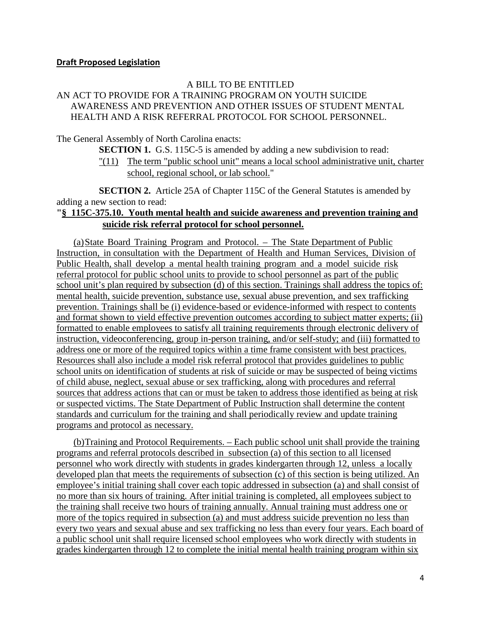#### **Draft Proposed Legislation**

#### A BILL TO BE ENTITLED AN ACT TO PROVIDE FOR A TRAINING PROGRAM ON YOUTH SUICIDE AWARENESS AND PREVENTION AND OTHER ISSUES OF STUDENT MENTAL HEALTH AND A RISK REFERRAL PROTOCOL FOR SCHOOL PERSONNEL.

The General Assembly of North Carolina enacts:

**SECTION 1.** G.S. 115C-5 is amended by adding a new subdivision to read:

"(11) The term "public school unit" means a local school administrative unit, charter school, regional school, or lab school."

**SECTION 2.** Article 25A of Chapter 115C of the General Statutes is amended by adding a new section to read:

#### **"§ 115C-375.10. Youth mental health and suicide awareness and prevention training and suicide risk referral protocol for school personnel.**

(a)State Board Training Program and Protocol. – The State Department of Public Instruction, in consultation with the Department of Health and Human Services, Division of Public Health, shall develop a mental health training program and a model suicide risk referral protocol for public school units to provide to school personnel as part of the public school unit's plan required by subsection (d) of this section. Trainings shall address the topics of: mental health, suicide prevention, substance use, sexual abuse prevention, and sex trafficking prevention. Trainings shall be (i) evidence-based or evidence-informed with respect to contents and format shown to yield effective prevention outcomes according to subject matter experts; (ii) formatted to enable employees to satisfy all training requirements through electronic delivery of instruction, videoconferencing, group in-person training, and/or self-study; and (iii) formatted to address one or more of the required topics within a time frame consistent with best practices. Resources shall also include a model risk referral protocol that provides guidelines to public school units on identification of students at risk of suicide or may be suspected of being victims of child abuse, neglect, sexual abuse or sex trafficking, along with procedures and referral sources that address actions that can or must be taken to address those identified as being at risk or suspected victims. The State Department of Public Instruction shall determine the content standards and curriculum for the training and shall periodically review and update training programs and protocol as necessary.

(b)Training and Protocol Requirements. – Each public school unit shall provide the training programs and referral protocols described in subsection (a) of this section to all licensed personnel who work directly with students in grades kindergarten through 12, unless a locally developed plan that meets the requirements of subsection (c) of this section is being utilized. An employee's initial training shall cover each topic addressed in subsection (a) and shall consist of no more than six hours of training. After initial training is completed, all employees subject to the training shall receive two hours of training annually. Annual training must address one or more of the topics required in subsection (a) and must address suicide prevention no less than every two years and sexual abuse and sex trafficking no less than every four years. Each board of a public school unit shall require licensed school employees who work directly with students in grades kindergarten through 12 to complete the initial mental health training program within six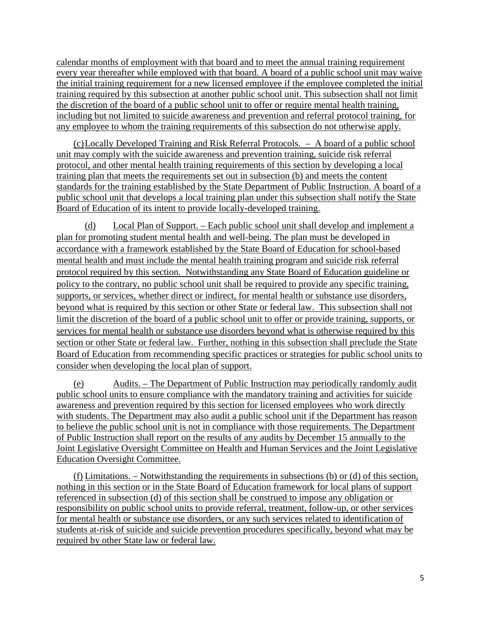calendar months of employment with that board and to meet the annual training requirement every year thereafter while employed with that board. A board of a public school unit may waive the initial training requirement for a new licensed employee if the employee completed the initial training required by this subsection at another public school unit. This subsection shall not limit the discretion of the board of a public school unit to offer or require mental health training, including but not limited to suicide awareness and prevention and referral protocol training, for any employee to whom the training requirements of this subsection do not otherwise apply.

(c)Locally Developed Training and Risk Referral Protocols. – A board of a public school unit may comply with the suicide awareness and prevention training, suicide risk referral protocol, and other mental health training requirements of this section by developing a local training plan that meets the requirements set out in subsection (b) and meets the content standards for the training established by the State Department of Public Instruction. A board of a public school unit that develops a local training plan under this subsection shall notify the State Board of Education of its intent to provide locally-developed training.

(d) Local Plan of Support. – Each public school unit shall develop and implement a plan for promoting student mental health and well-being. The plan must be developed in accordance with a framework established by the State Board of Education for school-based mental health and must include the mental health training program and suicide risk referral protocol required by this section. Notwithstanding any State Board of Education guideline or policy to the contrary, no public school unit shall be required to provide any specific training, supports, or services, whether direct or indirect, for mental health or substance use disorders, beyond what is required by this section or other State or federal law. This subsection shall not limit the discretion of the board of a public school unit to offer or provide training, supports, or services for mental health or substance use disorders beyond what is otherwise required by this section or other State or federal law. Further, nothing in this subsection shall preclude the State Board of Education from recommending specific practices or strategies for public school units to consider when developing the local plan of support.

(e) Audits. – The Department of Public Instruction may periodically randomly audit public school units to ensure compliance with the mandatory training and activities for suicide awareness and prevention required by this section for licensed employees who work directly with students. The Department may also audit a public school unit if the Department has reason to believe the public school unit is not in compliance with those requirements. The Department of Public Instruction shall report on the results of any audits by December 15 annually to the Joint Legislative Oversight Committee on Health and Human Services and the Joint Legislative Education Oversight Committee.

(f) Limitations. – Notwithstanding the requirements in subsections (b) or (d) of this section, nothing in this section or in the State Board of Education framework for local plans of support referenced in subsection (d) of this section shall be construed to impose any obligation or responsibility on public school units to provide referral, treatment, follow-up, or other services for mental health or substance use disorders, or any such services related to identification of students at-risk of suicide and suicide prevention procedures specifically, beyond what may be required by other State law or federal law.